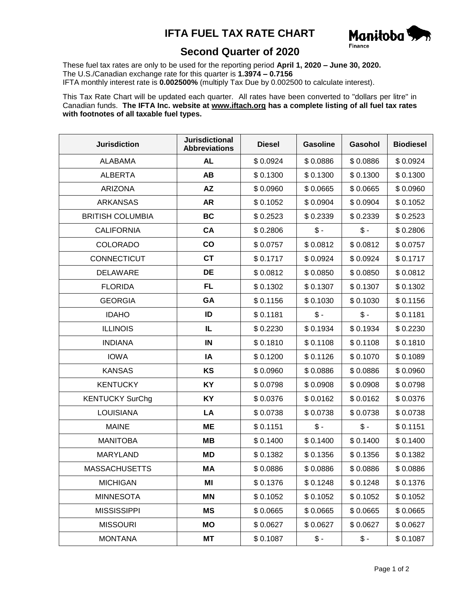## **IFTA FUEL TAX RATE CHART**



## **Second Quarter of 2020**

These fuel tax rates are only to be used for the reporting period **April 1, 2020 – June 30, 2020.** The U.S./Canadian exchange rate for this quarter is **1.3974 – 0.7156** IFTA monthly interest rate is **0.002500%** (multiply Tax Due by 0.002500 to calculate interest).

This Tax Rate Chart will be updated each quarter. All rates have been converted to "dollars per litre" in Canadian funds. **The IFTA Inc. website at www.iftach.org has a complete listing of all fuel tax rates with footnotes of all taxable fuel types.**

| <b>Jurisdiction</b>     | <b>Jurisdictional</b><br><b>Abbreviations</b> | <b>Diesel</b> | <b>Gasoline</b> | Gasohol         | <b>Biodiesel</b> |
|-------------------------|-----------------------------------------------|---------------|-----------------|-----------------|------------------|
| <b>ALABAMA</b>          | <b>AL</b>                                     | \$0.0924      | \$0.0886        | \$0.0886        | \$0.0924         |
| <b>ALBERTA</b>          | AB                                            | \$0.1300      | \$0.1300        | \$0.1300        | \$0.1300         |
| <b>ARIZONA</b>          | AZ                                            | \$0.0960      | \$0.0665        | \$0.0665        | \$0.0960         |
| <b>ARKANSAS</b>         | <b>AR</b>                                     | \$0.1052      | \$0.0904        | \$0.0904        | \$0.1052         |
| <b>BRITISH COLUMBIA</b> | <b>BC</b>                                     | \$0.2523      | \$0.2339        | \$0.2339        | \$0.2523         |
| <b>CALIFORNIA</b>       | CA                                            | \$0.2806      | $$ -$           | $$ -$           | \$0.2806         |
| <b>COLORADO</b>         | co                                            | \$0.0757      | \$0.0812        | \$0.0812        | \$0.0757         |
| CONNECTICUT             | <b>CT</b>                                     | \$0.1717      | \$0.0924        | \$0.0924        | \$0.1717         |
| DELAWARE                | DE                                            | \$0.0812      | \$0.0850        | \$0.0850        | \$0.0812         |
| <b>FLORIDA</b>          | <b>FL</b>                                     | \$0.1302      | \$0.1307        | \$0.1307        | \$0.1302         |
| <b>GEORGIA</b>          | <b>GA</b>                                     | \$0.1156      | \$0.1030        | \$0.1030        | \$0.1156         |
| <b>IDAHO</b>            | ID                                            | \$0.1181      | $\mathcal{S}$ - | $\frac{1}{2}$   | \$0.1181         |
| <b>ILLINOIS</b>         | IL                                            | \$0.2230      | \$0.1934        | \$0.1934        | \$0.2230         |
| <b>INDIANA</b>          | IN                                            | \$0.1810      | \$0.1108        | \$0.1108        | \$0.1810         |
| <b>IOWA</b>             | IA                                            | \$0.1200      | \$0.1126        | \$0.1070        | \$0.1089         |
| <b>KANSAS</b>           | KS                                            | \$0.0960      | \$0.0886        | \$0.0886        | \$0.0960         |
| <b>KENTUCKY</b>         | <b>KY</b>                                     | \$0.0798      | \$0.0908        | \$0.0908        | \$0.0798         |
| <b>KENTUCKY SurChg</b>  | KY                                            | \$0.0376      | \$0.0162        | \$0.0162        | \$0.0376         |
| <b>LOUISIANA</b>        | LA                                            | \$0.0738      | \$0.0738        | \$0.0738        | \$0.0738         |
| <b>MAINE</b>            | <b>ME</b>                                     | \$0.1151      | $\mathsf{\$}$ - | $\mathsf{\$}$ - | \$0.1151         |
| <b>MANITOBA</b>         | <b>MB</b>                                     | \$0.1400      | \$0.1400        | \$0.1400        | \$0.1400         |
| <b>MARYLAND</b>         | MD                                            | \$0.1382      | \$0.1356        | \$0.1356        | \$0.1382         |
| <b>MASSACHUSETTS</b>    | <b>MA</b>                                     | \$0.0886      | \$0.0886        | \$0.0886        | \$0.0886         |
| <b>MICHIGAN</b>         | ΜI                                            | \$0.1376      | \$0.1248        | \$0.1248        | \$0.1376         |
| <b>MINNESOTA</b>        | ΜN                                            | \$0.1052      | \$0.1052        | \$0.1052        | \$0.1052         |
| <b>MISSISSIPPI</b>      | <b>MS</b>                                     | \$0.0665      | \$0.0665        | \$0.0665        | \$0.0665         |
| <b>MISSOURI</b>         | МO                                            | \$0.0627      | \$0.0627        | \$0.0627        | \$0.0627         |
| <b>MONTANA</b>          | МT                                            | \$0.1087      | $$ -$           | \$ -            | \$0.1087         |